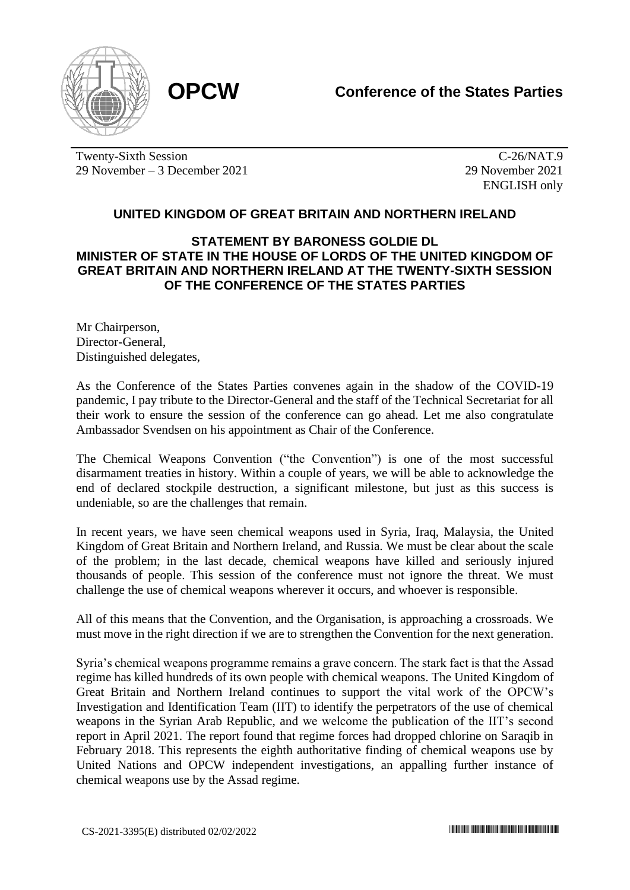

Twenty-Sixth Session 29 November – 3 December 2021

 $\overline{C-26/NAT.9}$ 29 November 2021 ENGLISH only

## **UNITED KINGDOM OF GREAT BRITAIN AND NORTHERN IRELAND**

## **STATEMENT BY BARONESS GOLDIE DL MINISTER OF STATE IN THE HOUSE OF LORDS OF THE UNITED KINGDOM OF GREAT BRITAIN AND NORTHERN IRELAND AT THE TWENTY-SIXTH SESSION OF THE CONFERENCE OF THE STATES PARTIES**

Mr Chairperson, Director-General, Distinguished delegates,

As the Conference of the States Parties convenes again in the shadow of the COVID-19 pandemic, I pay tribute to the Director-General and the staff of the Technical Secretariat for all their work to ensure the session of the conference can go ahead. Let me also congratulate Ambassador Svendsen on his appointment as Chair of the Conference.

The Chemical Weapons Convention ("the Convention") is one of the most successful disarmament treaties in history. Within a couple of years, we will be able to acknowledge the end of declared stockpile destruction, a significant milestone, but just as this success is undeniable, so are the challenges that remain.

In recent years, we have seen chemical weapons used in Syria, Iraq, Malaysia, the United Kingdom of Great Britain and Northern Ireland, and Russia. We must be clear about the scale of the problem; in the last decade, chemical weapons have killed and seriously injured thousands of people. This session of the conference must not ignore the threat. We must challenge the use of chemical weapons wherever it occurs, and whoever is responsible.

All of this means that the Convention, and the Organisation, is approaching a crossroads. We must move in the right direction if we are to strengthen the Convention for the next generation.

Syria's chemical weapons programme remains a grave concern. The stark fact is that the Assad regime has killed hundreds of its own people with chemical weapons. The United Kingdom of Great Britain and Northern Ireland continues to support the vital work of the OPCW's Investigation and Identification Team (IIT) to identify the perpetrators of the use of chemical weapons in the Syrian Arab Republic, and we welcome the publication of the IIT's second report in April 2021. The report found that regime forces had dropped chlorine on Saraqib in February 2018. This represents the eighth authoritative finding of chemical weapons use by United Nations and OPCW independent investigations, an appalling further instance of chemical weapons use by the Assad regime.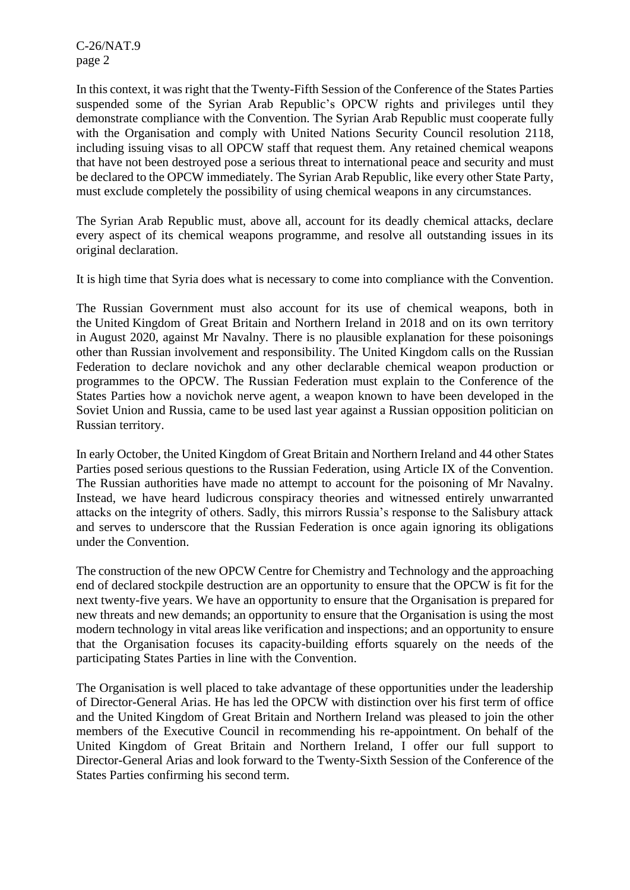C-26/NAT.9 page 2

In this context, it was right that the Twenty-Fifth Session of the Conference of the States Parties suspended some of the Syrian Arab Republic's OPCW rights and privileges until they demonstrate compliance with the Convention. The Syrian Arab Republic must cooperate fully with the Organisation and comply with United Nations Security Council resolution 2118, including issuing visas to all OPCW staff that request them. Any retained chemical weapons that have not been destroyed pose a serious threat to international peace and security and must be declared to the OPCW immediately. The Syrian Arab Republic, like every other State Party, must exclude completely the possibility of using chemical weapons in any circumstances.

The Syrian Arab Republic must, above all, account for its deadly chemical attacks, declare every aspect of its chemical weapons programme, and resolve all outstanding issues in its original declaration.

It is high time that Syria does what is necessary to come into compliance with the Convention.

The Russian Government must also account for its use of chemical weapons, both in the United Kingdom of Great Britain and Northern Ireland in 2018 and on its own territory in August 2020, against Mr Navalny. There is no plausible explanation for these poisonings other than Russian involvement and responsibility. The United Kingdom calls on the Russian Federation to declare novichok and any other declarable chemical weapon production or programmes to the OPCW. The Russian Federation must explain to the Conference of the States Parties how a novichok nerve agent, a weapon known to have been developed in the Soviet Union and Russia, came to be used last year against a Russian opposition politician on Russian territory.

In early October, the United Kingdom of Great Britain and Northern Ireland and 44 other States Parties posed serious questions to the Russian Federation, using Article IX of the Convention. The Russian authorities have made no attempt to account for the poisoning of Mr Navalny. Instead, we have heard ludicrous conspiracy theories and witnessed entirely unwarranted attacks on the integrity of others. Sadly, this mirrors Russia's response to the Salisbury attack and serves to underscore that the Russian Federation is once again ignoring its obligations under the Convention.

The construction of the new OPCW Centre for Chemistry and Technology and the approaching end of declared stockpile destruction are an opportunity to ensure that the OPCW is fit for the next twenty-five years. We have an opportunity to ensure that the Organisation is prepared for new threats and new demands; an opportunity to ensure that the Organisation is using the most modern technology in vital areas like verification and inspections; and an opportunity to ensure that the Organisation focuses its capacity-building efforts squarely on the needs of the participating States Parties in line with the Convention.

The Organisation is well placed to take advantage of these opportunities under the leadership of Director-General Arias. He has led the OPCW with distinction over his first term of office and the United Kingdom of Great Britain and Northern Ireland was pleased to join the other members of the Executive Council in recommending his re-appointment. On behalf of the United Kingdom of Great Britain and Northern Ireland, I offer our full support to Director-General Arias and look forward to the Twenty-Sixth Session of the Conference of the States Parties confirming his second term.